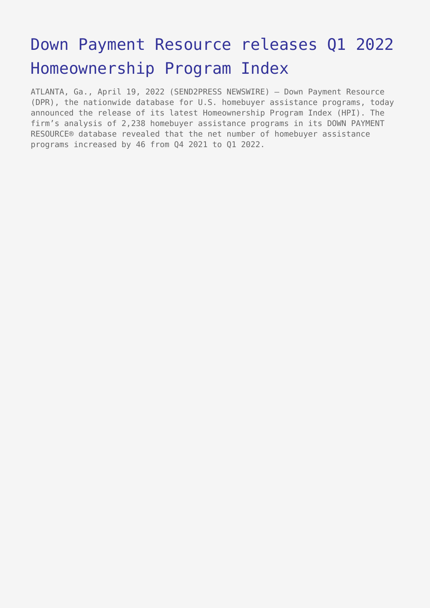# [Down Payment Resource releases Q1 2022](https://www.send2press.com/wire/down-payment-resource-releases-q1-2022-homeownership-program-index/) [Homeownership Program Index](https://www.send2press.com/wire/down-payment-resource-releases-q1-2022-homeownership-program-index/)

ATLANTA, Ga., April 19, 2022 (SEND2PRESS NEWSWIRE) — Down Payment Resource (DPR), the nationwide database for U.S. homebuyer assistance programs, today announced the release of its latest Homeownership Program Index (HPI). The firm's analysis of 2,238 homebuyer assistance programs in its DOWN PAYMENT RESOURCE® database revealed that the net number of homebuyer assistance programs increased by 46 from Q4 2021 to Q1 2022.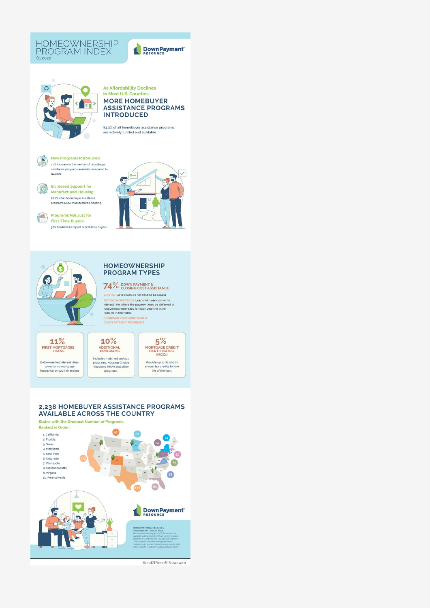

OM

#### **As Affordability Declines** in Most U.S. Counties **MORE HOMEBUYER ASSISTANCE PROGRAMS INTRODUCED**

84.9% of all homebuyer assistance programs<br>are actively funded and available.



 $\Omega$ 

**Increased Support for<br>Manufactured Housing** 28.8% of all homebuyer assistance<br>programs allow manufactured housing

Programs Not **Programs Not Just for** 38% Available to repeat or first-time buyers



Down Payment



#### **HOMEOWNERSHIP PROGRAM TYPES**

## 74% DOWN PAYMENT &

GRANTS Gifts which do not have to be repaid **GRAFTS:** Gifts which do not have to be repaid<br>SECOND MORTGAGES: Loans with very low or no<br>interest rate where the payment may be deferred or<br>forgiven incrementally for each year the buyer<br>remains in the home.<br>COMBINED FIR

 $11%$ FIRST MORTGAGES

Below-market interest rates,<br>lower or no mortgage<br>insurance, or 100% financing.



Includes matched savings<br>programs, Housing Choice<br>Vouchers (HCV) and other<br>programs.



#### 2,238 HOMEBUYER ASSISTANCE PROGRAMS **AVAILABLE ACROSS THE COUNTRY**

States with the Greatest Number of Programs,



Send2Press® Newswire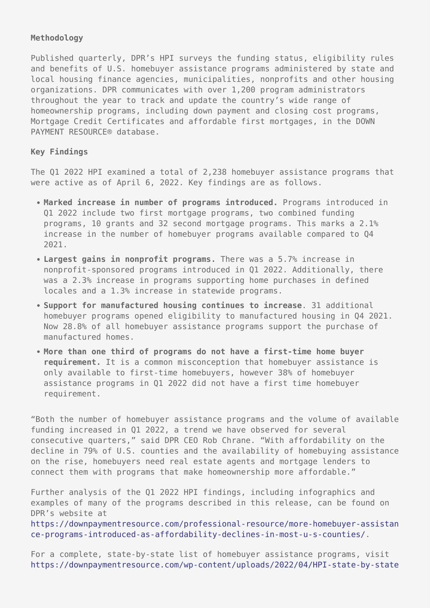## **Methodology**

Published quarterly, DPR's HPI surveys the funding status, eligibility rules and benefits of U.S. homebuyer assistance programs administered by state and local housing finance agencies, municipalities, nonprofits and other housing organizations. DPR communicates with over 1,200 program administrators throughout the year to track and update the country's wide range of homeownership programs, including down payment and closing cost programs, Mortgage Credit Certificates and affordable first mortgages, in the DOWN PAYMENT RESOURCE® database.

#### **Key Findings**

The Q1 2022 HPI examined a total of 2,238 homebuyer assistance programs that were active as of April 6, 2022. Key findings are as follows.

- **Marked increase in number of programs introduced.** Programs introduced in Q1 2022 include two first mortgage programs, two combined funding programs, 10 grants and 32 second mortgage programs. This marks a 2.1% increase in the number of homebuyer programs available compared to Q4 2021.
- **Largest gains in nonprofit programs.** There was a 5.7% increase in nonprofit-sponsored programs introduced in Q1 2022. Additionally, there was a 2.3% increase in programs supporting home purchases in defined locales and a 1.3% increase in statewide programs.
- **Support for manufactured housing continues to increase**. 31 additional homebuyer programs opened eligibility to manufactured housing in Q4 2021. Now 28.8% of all homebuyer assistance programs support the purchase of manufactured homes.
- **More than one third of programs do not have a first-time home buyer requirement.** It is a common misconception that homebuyer assistance is only available to first-time homebuyers, however 38% of homebuyer assistance programs in Q1 2022 did not have a first time homebuyer requirement.

"Both the number of homebuyer assistance programs and the volume of available funding increased in Q1 2022, a trend we have observed for several consecutive quarters," said DPR CEO Rob Chrane. "With affordability on the decline in 79% of U.S. counties and the availability of homebuying assistance on the rise, homebuyers need real estate agents and mortgage lenders to connect them with programs that make homeownership more affordable."

Further analysis of the Q1 2022 HPI findings, including infographics and examples of many of the programs described in this release, can be found on DPR's website at

[https://downpaymentresource.com/professional-resource/more-homebuyer-assistan](https://downpaymentresource.com/professional-resource/more-homebuyer-assistance-programs-introduced-as-affordability-declines-in-most-u-s-counties/) [ce-programs-introduced-as-affordability-declines-in-most-u-s-counties/](https://downpaymentresource.com/professional-resource/more-homebuyer-assistance-programs-introduced-as-affordability-declines-in-most-u-s-counties/).

For a complete, state-by-state list of homebuyer assistance programs, visit [https://downpaymentresource.com/wp-content/uploads/2022/04/HPI-state-by-state](https://downpaymentresource.com/wp-content/uploads/2022/04/HPI-state-by-state-data.Q12022.pdf)